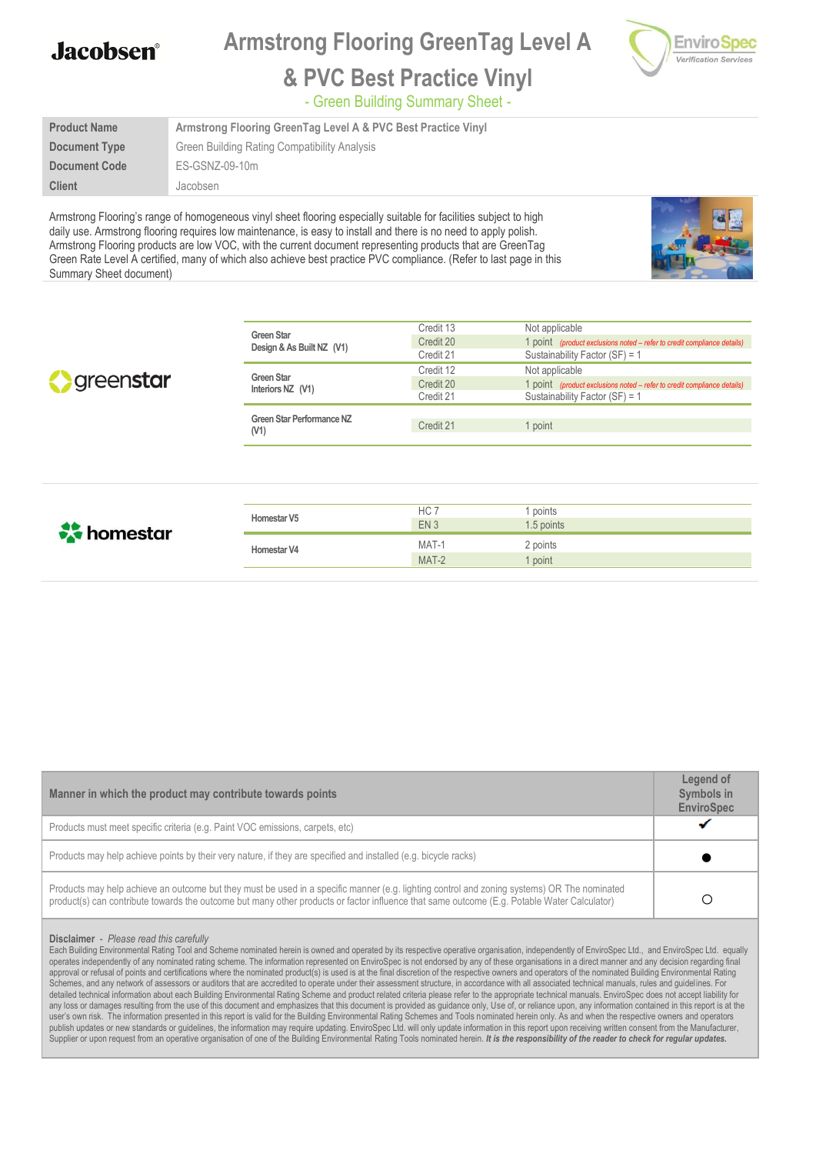**Armstrong Flooring GreenTag Level A**



#### **& PVC Best Practice Vinyl**

- Green Building Summary Sheet -

| <b>Product Name</b> | Armstrong Flooring GreenTag Level A & PVC Best Practice Vinyl |  |  |
|---------------------|---------------------------------------------------------------|--|--|
| Document Type       | Green Building Rating Compatibility Analysis                  |  |  |
| Document Code       | ES-GSNZ-09-10m                                                |  |  |
| <b>Client</b>       | Jacobsen                                                      |  |  |

Armstrong Flooring's range of homogeneous vinyl sheet flooring especially suitable for facilities subject to high daily use. Armstrong flooring requires low maintenance, is easy to install and there is no need to apply polish. Armstrong Flooring products are low VOC, with the current document representing products that are GreenTag Green Rate Level A certified, many of which also achieve best practice PVC compliance. (Refer to last page in this Summary Sheet document)



|                          |                                                | Credit 13       | Not applicable                                                                 |
|--------------------------|------------------------------------------------|-----------------|--------------------------------------------------------------------------------|
|                          | <b>Green Star</b><br>Design & As Built NZ (V1) | Credit 20       | 1 point (product exclusions noted – refer to credit compliance details)        |
|                          |                                                | Credit 21       | Sustainability Factor (SF) = 1                                                 |
|                          |                                                | Credit 12       | Not applicable                                                                 |
| greenstar                | <b>Green Star</b><br>Interiors NZ (V1)         | Credit 20       | 1 point <i>(product exclusions noted – refer to credit compliance details)</i> |
|                          |                                                | Credit 21       | Sustainability Factor (SF) = 1                                                 |
|                          | Green Star Performance NZ                      |                 |                                                                                |
|                          | (V1)                                           | Credit 21       | 1 point                                                                        |
|                          |                                                |                 |                                                                                |
|                          |                                                |                 |                                                                                |
|                          |                                                |                 |                                                                                |
|                          |                                                |                 |                                                                                |
|                          |                                                |                 |                                                                                |
|                          | Homestar V5                                    | HC 7            | points                                                                         |
| $\frac{1}{200}$ homestar |                                                | EN <sub>3</sub> | 1.5 points                                                                     |
|                          |                                                |                 |                                                                                |

**Homestar V4** MAT-1 2 points<br>MAT-2 1 point

 $MAT-2$ 

| Manner in which the product may contribute towards points                                                                                                                                                                                                                                  |  |  |
|--------------------------------------------------------------------------------------------------------------------------------------------------------------------------------------------------------------------------------------------------------------------------------------------|--|--|
| Products must meet specific criteria (e.g. Paint VOC emissions, carpets, etc)                                                                                                                                                                                                              |  |  |
| Products may help achieve points by their very nature, if they are specified and installed (e.g. bicycle racks)                                                                                                                                                                            |  |  |
| Products may help achieve an outcome but they must be used in a specific manner (e.g. lighting control and zoning systems) OR The nominated<br>product(s) can contribute towards the outcome but many other products or factor influence that same outcome (E.g. Potable Water Calculator) |  |  |

#### **Disclaimer** - *Please read this carefully*

Each Building Environmental Rating Tool and Scheme nominated herein is owned and operated by its respective operative organisation, independently of EnviroSpec Ltd., and EnviroSpec Ltd., equally operates independently of any nominated rating scheme. The information represented on EnviroSpec is not endorsed by any of these organisations in a direct manner and any decision regarding final approval or refusal of points and certifications where the nominated product(s) is used is at the final discretion of the respective owners and operators of the nominated Building Environmental Rating Schemes, and any network of assessors or auditors that are accredited to operate under their assessment structure, in accordance with all associated technical manuals, rules and guidelines. For detailed technical information about each Building Environmental Rating Scheme and product related criteria please refer to the appropriate technical manuals. EnviroSpec does not accept liability for any loss or damages resulting from the use of this document and emphasizes that this document is provided as guidance only, Use of, or reliance upon, any information contained in this report is at the user's own risk. The information presented in this report is valid for the Building Environmental Rating Schemes and Tools nominated herein only. As and when the respective owners and operators publish updates or new standards or guidelines, the information may require updating. EnviroSpec Ltd. will only update information in this report upon receiving written consent from the Manufacturer, Supplier or upon request from an operative organisation of one of the Building Environmental Rating Tools nominated herein. It is the responsibility of the reader to check for regular updates.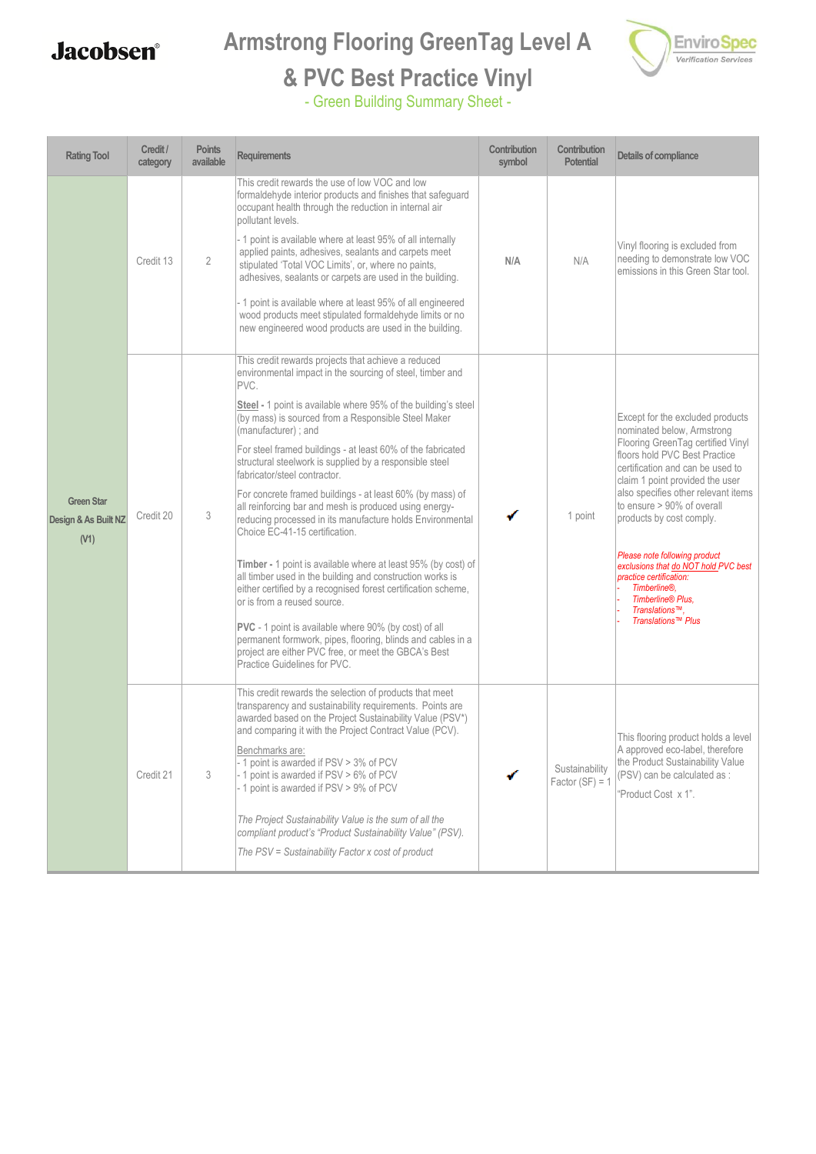## **Armstrong Flooring GreenTag Level A**



# **& PVC Best Practice Vinyl**

| <b>Rating Tool</b>                                | Credit /<br>category | <b>Points</b><br>available | <b>Requirements</b>                                                                                                                                                                                                                                                                                                                                                                                                                                                                                                                                                                                                                                                                                                                                                                                                                                                                                                                                                                                                                                                                                    | Contribution<br>symbol | Contribution<br><b>Potential</b>    | Details of compliance                                                                                                                                                                                                                                                                                                                                                                                                                                                                                                  |
|---------------------------------------------------|----------------------|----------------------------|--------------------------------------------------------------------------------------------------------------------------------------------------------------------------------------------------------------------------------------------------------------------------------------------------------------------------------------------------------------------------------------------------------------------------------------------------------------------------------------------------------------------------------------------------------------------------------------------------------------------------------------------------------------------------------------------------------------------------------------------------------------------------------------------------------------------------------------------------------------------------------------------------------------------------------------------------------------------------------------------------------------------------------------------------------------------------------------------------------|------------------------|-------------------------------------|------------------------------------------------------------------------------------------------------------------------------------------------------------------------------------------------------------------------------------------------------------------------------------------------------------------------------------------------------------------------------------------------------------------------------------------------------------------------------------------------------------------------|
| <b>Green Star</b><br>Design & As Built NZ<br>(V1) | Credit 13            | $\overline{2}$             | This credit rewards the use of low VOC and low<br>formaldehyde interior products and finishes that safeguard<br>occupant health through the reduction in internal air<br>pollutant levels.<br>- 1 point is available where at least 95% of all internally<br>applied paints, adhesives, sealants and carpets meet<br>stipulated 'Total VOC Limits', or, where no paints,<br>adhesives, sealants or carpets are used in the building.<br>- 1 point is available where at least 95% of all engineered<br>wood products meet stipulated formaldehyde limits or no<br>new engineered wood products are used in the building.                                                                                                                                                                                                                                                                                                                                                                                                                                                                               | N/A                    | N/A                                 | Vinyl flooring is excluded from<br>needing to demonstrate low VOC<br>emissions in this Green Star tool.                                                                                                                                                                                                                                                                                                                                                                                                                |
|                                                   | Credit 20            | 3                          | This credit rewards projects that achieve a reduced<br>environmental impact in the sourcing of steel, timber and<br>PVC.<br>Steel - 1 point is available where 95% of the building's steel<br>(by mass) is sourced from a Responsible Steel Maker<br>(manufacturer); and<br>For steel framed buildings - at least 60% of the fabricated<br>structural steelwork is supplied by a responsible steel<br>fabricator/steel contractor.<br>For concrete framed buildings - at least 60% (by mass) of<br>all reinforcing bar and mesh is produced using energy-<br>reducing processed in its manufacture holds Environmental<br>Choice EC-41-15 certification.<br>Timber - 1 point is available where at least 95% (by cost) of<br>all timber used in the building and construction works is<br>either certified by a recognised forest certification scheme,<br>or is from a reused source.<br>PVC - 1 point is available where 90% (by cost) of all<br>permanent formwork, pipes, flooring, blinds and cables in a<br>project are either PVC free, or meet the GBCA's Best<br>Practice Guidelines for PVC. |                        | 1 point                             | Except for the excluded products<br>nominated below, Armstrong<br>Flooring GreenTag certified Vinyl<br>floors hold PVC Best Practice<br>certification and can be used to<br>claim 1 point provided the user<br>also specifies other relevant items<br>to ensure > 90% of overall<br>products by cost comply.<br>Please note following product<br>exclusions that do NOT hold PVC best<br>practice certification:<br>Timberline <sup>®</sup> .<br>Timberline <sup>®</sup> Plus,<br>Translations™,<br>Translations™ Plus |
|                                                   | Credit 21            | 3                          | This credit rewards the selection of products that meet<br>transparency and sustainability requirements. Points are<br>awarded based on the Project Sustainability Value (PSV*)<br>and comparing it with the Project Contract Value (PCV).<br>Benchmarks are:<br>- 1 point is awarded if PSV > 3% of PCV<br>- 1 point is awarded if PSV > 6% of PCV<br>- 1 point is awarded if PSV > 9% of PCV<br>The Project Sustainability Value is the sum of all the<br>compliant product's "Product Sustainability Value" (PSV).<br>The PSV = Sustainability Factor x cost of product                                                                                                                                                                                                                                                                                                                                                                                                                                                                                                                             |                        | Sustainability<br>Factor $(SF) = 1$ | This flooring product holds a level<br>A approved eco-label, therefore<br>the Product Sustainability Value<br>(PSV) can be calculated as :<br>"Product Cost x 1".                                                                                                                                                                                                                                                                                                                                                      |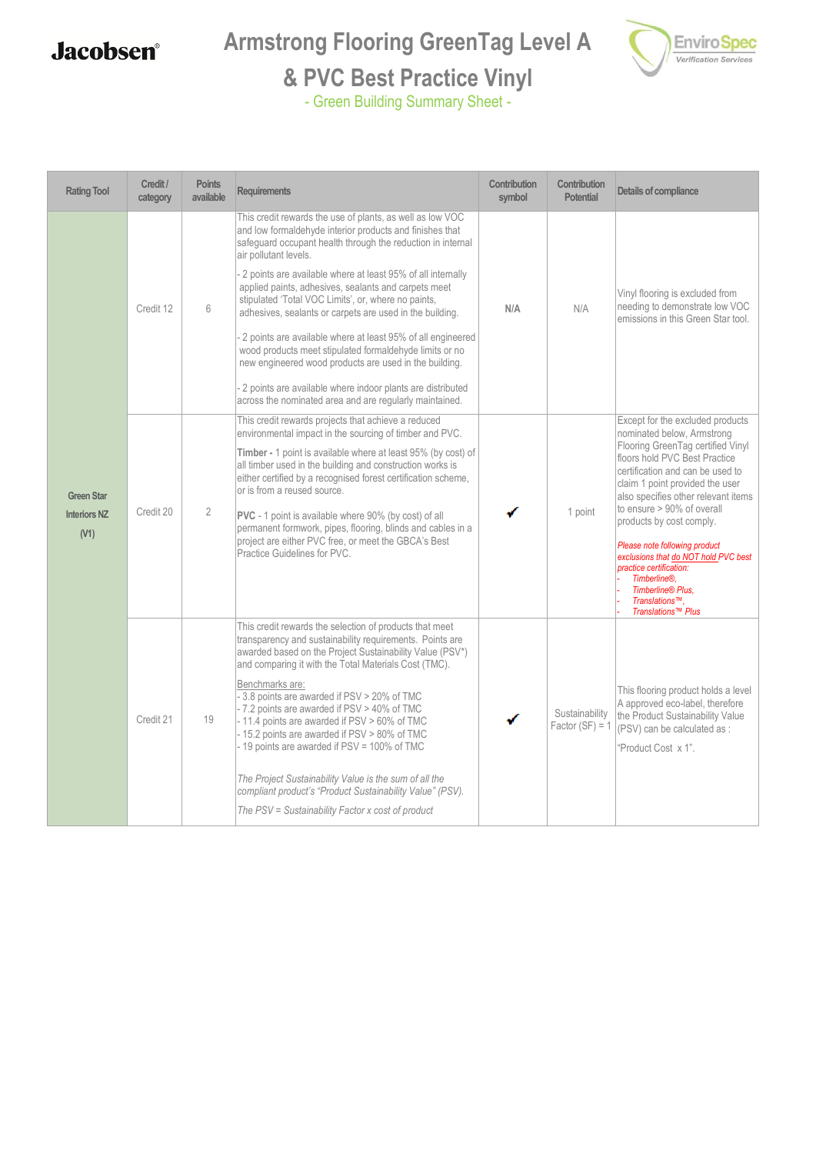## **Armstrong Flooring GreenTag Level A**



## **& PVC Best Practice Vinyl**

| <b>Rating Tool</b>                               | Credit /<br>category | <b>Points</b><br>available | Requirements                                                                                                                                                                                                                                                                                                                                                                                                                                                                                                                                                                                                                                                                                                                                                             | Contribution<br>symbol | Contribution<br><b>Potential</b>    | Details of compliance                                                                                                                                                                                                                                                                                                                                                                                                                                                                                |
|--------------------------------------------------|----------------------|----------------------------|--------------------------------------------------------------------------------------------------------------------------------------------------------------------------------------------------------------------------------------------------------------------------------------------------------------------------------------------------------------------------------------------------------------------------------------------------------------------------------------------------------------------------------------------------------------------------------------------------------------------------------------------------------------------------------------------------------------------------------------------------------------------------|------------------------|-------------------------------------|------------------------------------------------------------------------------------------------------------------------------------------------------------------------------------------------------------------------------------------------------------------------------------------------------------------------------------------------------------------------------------------------------------------------------------------------------------------------------------------------------|
| <b>Green Star</b><br><b>Interiors NZ</b><br>(V1) | Credit 12            | $6\,$                      | This credit rewards the use of plants, as well as low VOC<br>and low formaldehyde interior products and finishes that<br>safeguard occupant health through the reduction in internal<br>air pollutant levels.<br>- 2 points are available where at least 95% of all internally<br>applied paints, adhesives, sealants and carpets meet<br>stipulated 'Total VOC Limits', or, where no paints,<br>adhesives, sealants or carpets are used in the building.<br>2 points are available where at least 95% of all engineered<br>wood products meet stipulated formaldehyde limits or no<br>new engineered wood products are used in the building.<br>- 2 points are available where indoor plants are distributed<br>across the nominated area and are regularly maintained. | N/A                    | N/A                                 | Vinyl flooring is excluded from<br>needing to demonstrate low VOC<br>emissions in this Green Star tool.                                                                                                                                                                                                                                                                                                                                                                                              |
|                                                  | Credit 20            | $\overline{2}$             | This credit rewards projects that achieve a reduced<br>environmental impact in the sourcing of timber and PVC.<br>Timber - 1 point is available where at least 95% (by cost) of<br>all timber used in the building and construction works is<br>either certified by a recognised forest certification scheme,<br>or is from a reused source.<br>PVC - 1 point is available where 90% (by cost) of all<br>permanent formwork, pipes, flooring, blinds and cables in a<br>project are either PVC free, or meet the GBCA's Best<br>Practice Guidelines for PVC.                                                                                                                                                                                                             |                        | 1 point                             | Except for the excluded products<br>nominated below, Armstrong<br>Flooring GreenTag certified Vinyl<br>floors hold PVC Best Practice<br>certification and can be used to<br>claim 1 point provided the user<br>also specifies other relevant items<br>to ensure > 90% of overall<br>products by cost comply.<br>Please note following product<br>exclusions that do NOT hold PVC best<br>practice certification:<br>Timberline®,<br><b>Timberline® Plus.</b><br>Translations™.<br>Translations™ Plus |
|                                                  | Credit 21            | 19                         | This credit rewards the selection of products that meet<br>transparency and sustainability requirements. Points are<br>awarded based on the Project Sustainability Value (PSV*)<br>and comparing it with the Total Materials Cost (TMC).<br>Benchmarks are:<br>- 3.8 points are awarded if PSV > 20% of TMC<br>- 7.2 points are awarded if PSV > 40% of TMC<br>- 11.4 points are awarded if PSV > 60% of TMC<br>- 15.2 points are awarded if PSV > 80% of TMC<br>- 19 points are awarded if PSV = 100% of TMC<br>The Project Sustainability Value is the sum of all the<br>compliant product's "Product Sustainability Value" (PSV).<br>The PSV = Sustainability Factor x cost of product                                                                                |                        | Sustainability<br>Factor $(SF) = 1$ | This flooring product holds a level<br>A approved eco-label, therefore<br>the Product Sustainability Value<br>(PSV) can be calculated as :<br>'Product Cost x 1".                                                                                                                                                                                                                                                                                                                                    |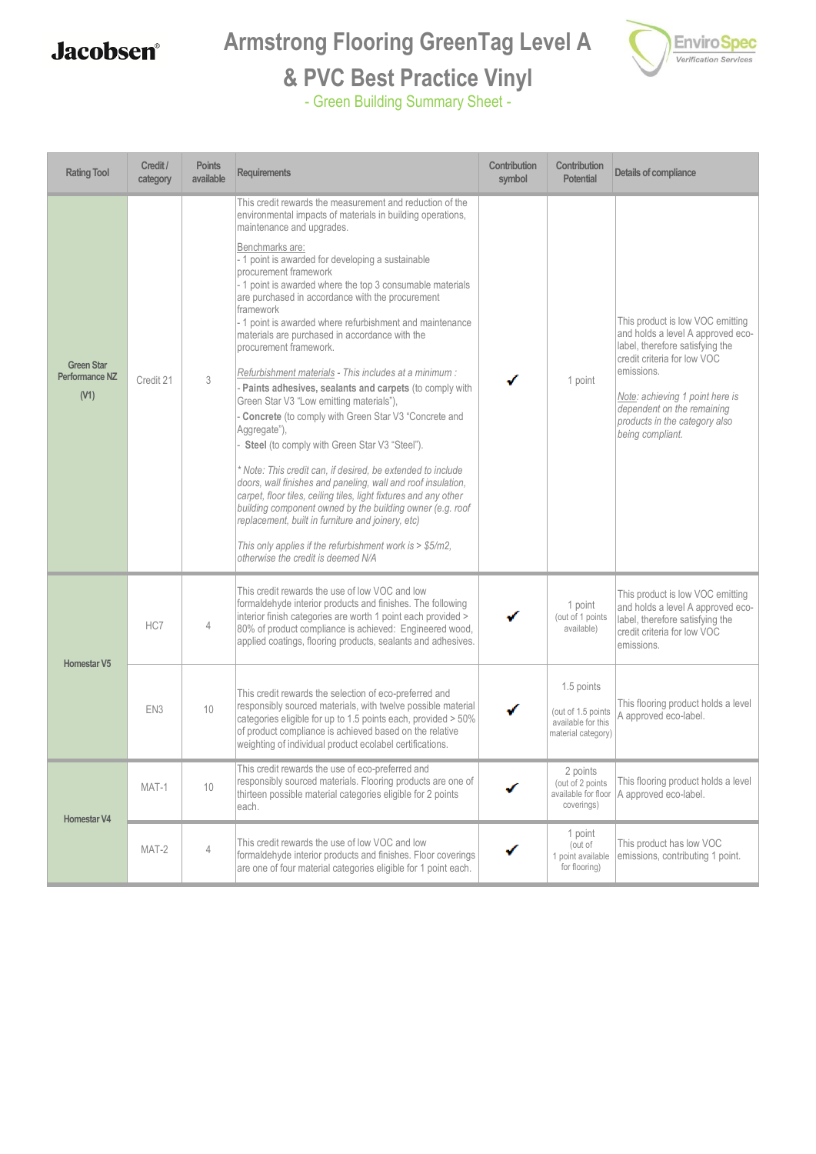## **Armstrong Flooring GreenTag Level A**



#### **& PVC Best Practice Vinyl**

| <b>Rating Tool</b>                          | Credit /<br>category | <b>Points</b><br>available | <b>Requirements</b>                                                                                                                                                                                                                                                                                                                                                                                                                                                                                                                                                                                                                                                                                                                                                                                                                                                                                                                                                                                                                                                                                                                                                                                                                        | Contribution<br>symbol | Contribution<br><b>Potential</b>                                             | Details of compliance                                                                                                                                                                                                                                                       |
|---------------------------------------------|----------------------|----------------------------|--------------------------------------------------------------------------------------------------------------------------------------------------------------------------------------------------------------------------------------------------------------------------------------------------------------------------------------------------------------------------------------------------------------------------------------------------------------------------------------------------------------------------------------------------------------------------------------------------------------------------------------------------------------------------------------------------------------------------------------------------------------------------------------------------------------------------------------------------------------------------------------------------------------------------------------------------------------------------------------------------------------------------------------------------------------------------------------------------------------------------------------------------------------------------------------------------------------------------------------------|------------------------|------------------------------------------------------------------------------|-----------------------------------------------------------------------------------------------------------------------------------------------------------------------------------------------------------------------------------------------------------------------------|
| <b>Green Star</b><br>Performance NZ<br>(V1) | Credit 21            | 3                          | This credit rewards the measurement and reduction of the<br>environmental impacts of materials in building operations,<br>maintenance and upgrades.<br>Benchmarks are:<br>- 1 point is awarded for developing a sustainable<br>procurement framework<br>- 1 point is awarded where the top 3 consumable materials<br>are purchased in accordance with the procurement<br>framework<br>- 1 point is awarded where refurbishment and maintenance<br>materials are purchased in accordance with the<br>procurement framework.<br>Refurbishment materials - This includes at a minimum :<br>Paints adhesives, sealants and carpets (to comply with<br>Green Star V3 "Low emitting materials"),<br>Concrete (to comply with Green Star V3 "Concrete and<br>Aggregate"),<br>Steel (to comply with Green Star V3 "Steel").<br>Note: This credit can. if desired, be extended to include<br>doors, wall finishes and paneling, wall and roof insulation,<br>carpet, floor tiles, ceiling tiles, light fixtures and any other<br>building component owned by the building owner (e.g. roof<br>replacement, built in furniture and joinery, etc)<br>This only applies if the refurbishment work is $>$ \$5/m2,<br>otherwise the credit is deemed N/A |                        | 1 point                                                                      | This product is low VOC emitting<br>and holds a level A approved eco-<br>label, therefore satisfying the<br>credit criteria for low VOC<br>emissions.<br>Note: achieving 1 point here is<br>dependent on the remaining<br>products in the category also<br>being compliant. |
| <b>Homestar V5</b>                          | HC7                  | 4                          | This credit rewards the use of low VOC and low<br>formaldehyde interior products and finishes. The following<br>interior finish categories are worth 1 point each provided ><br>80% of product compliance is achieved: Engineered wood,<br>applied coatings, flooring products, sealants and adhesives.                                                                                                                                                                                                                                                                                                                                                                                                                                                                                                                                                                                                                                                                                                                                                                                                                                                                                                                                    |                        | 1 point<br>(out of 1 points<br>available)                                    | This product is low VOC emitting<br>and holds a level A approved eco-<br>label, therefore satisfying the<br>credit criteria for low VOC<br>emissions.                                                                                                                       |
|                                             | EN <sub>3</sub>      | 10                         | This credit rewards the selection of eco-preferred and<br>responsibly sourced materials, with twelve possible material<br>categories eligible for up to 1.5 points each, provided > 50%<br>of product compliance is achieved based on the relative<br>weighting of individual product ecolabel certifications.                                                                                                                                                                                                                                                                                                                                                                                                                                                                                                                                                                                                                                                                                                                                                                                                                                                                                                                             |                        | 1.5 points<br>(out of 1.5 points<br>available for this<br>material category) | This flooring product holds a level<br>A approved eco-label.                                                                                                                                                                                                                |
| <b>Homestar V4</b>                          | MAT-1                | 10                         | This credit rewards the use of eco-preferred and<br>responsibly sourced materials. Flooring products are one of<br>thirteen possible material categories eligible for 2 points<br>each.                                                                                                                                                                                                                                                                                                                                                                                                                                                                                                                                                                                                                                                                                                                                                                                                                                                                                                                                                                                                                                                    |                        | 2 points<br>(out of 2 points<br>available for floor<br>coverings)            | This flooring product holds a level<br>A approved eco-label.                                                                                                                                                                                                                |
|                                             | MAT-2                | $\overline{4}$             | This credit rewards the use of low VOC and low<br>formaldehyde interior products and finishes. Floor coverings<br>are one of four material categories eligible for 1 point each.                                                                                                                                                                                                                                                                                                                                                                                                                                                                                                                                                                                                                                                                                                                                                                                                                                                                                                                                                                                                                                                           |                        | 1 point<br>(out of<br>1 point available<br>for flooring)                     | This product has low VOC<br>emissions, contributing 1 point.                                                                                                                                                                                                                |